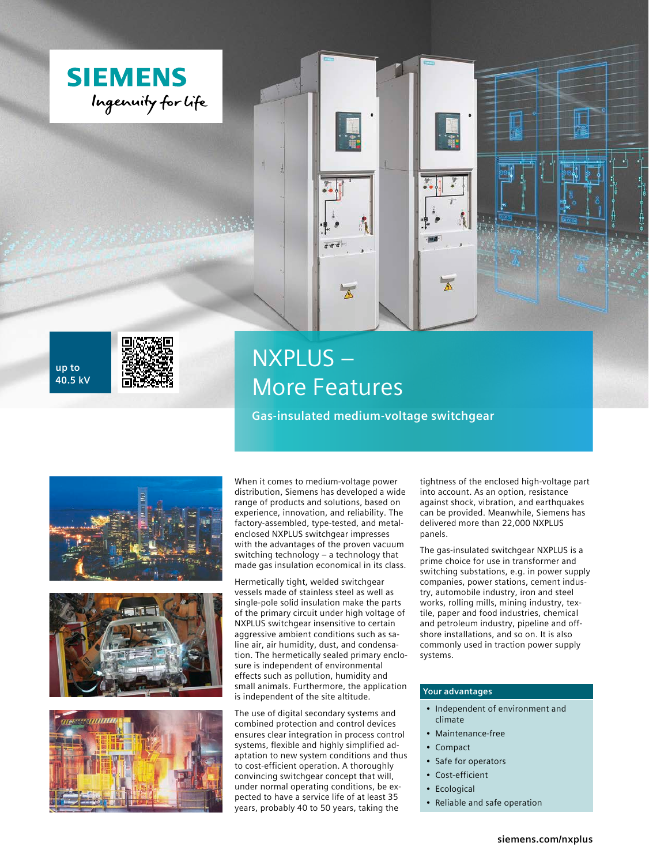





# NXPLUS – More Features

**Gas-insulated medium-voltage switchgear**







When it comes to medium-voltage power distribution, Siemens has developed a wide range of products and solutions, based on experience, innovation, and reliability. The factory-assembled, type-tested, and metalenclosed NXPLUS switchgear impresses with the advantages of the proven vacuum switching technology – a technology that made gas insulation economical in its class.

Hermetically tight, welded switchgear vessels made of stainless steel as well as single-pole solid insulation make the parts of the primary circuit under high voltage of NXPLUS switchgear insensitive to certain aggressive ambient conditions such as saline air, air humidity, dust, and condensation. The hermetically sealed primary enclosure is independent of environmental effects such as pollution, humidity and small animals. Furthermore, the application is independent of the site altitude.

The use of digital secondary systems and combined protection and control devices ensures clear integration in process control systems, flexible and highly simplified adaptation to new system conditions and thus to cost-efficient operation. A thoroughly convincing switchgear concept that will, under normal operating conditions, be expected to have a service life of at least 35 years, probably 40 to 50 years, taking the

tightness of the enclosed high-voltage part into account. As an option, resistance against shock, vibration, and earthquakes can be provided. Meanwhile, Siemens has delivered more than 22,000 NXPLUS panels.

The gas-insulated switchgear NXPLUS is a prime choice for use in transformer and switching substations, e.g. in power supply companies, power stations, cement industry, automobile industry, iron and steel works, rolling mills, mining industry, textile, paper and food industries, chemical and petroleum industry, pipeline and offshore installations, and so on. It is also commonly used in traction power supply systems.

### **Your advantages**

- Independent of environment and climate
- Maintenance-free
- Compact
- Safe for operators
- Cost-efficient
- Ecological
- Reliable and safe operation